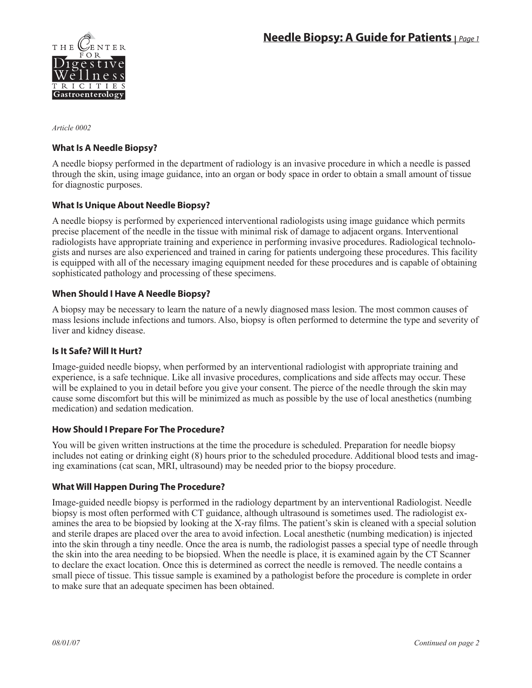

*Article 0002* 

# **What Is A Needle Biopsy?**

A needle biopsy performed in the department of radiology is an invasive procedure in which a needle is passed through the skin, using image guidance, into an organ or body space in order to obtain a small amount of tissue for diagnostic purposes.

# **What Is Unique About Needle Biopsy?**

A needle biopsy is performed by experienced interventional radiologists using image guidance which permits precise placement of the needle in the tissue with minimal risk of damage to adjacent organs. Interventional radiologists have appropriate training and experience in performing invasive procedures. Radiological technologists and nurses are also experienced and trained in caring for patients undergoing these procedures. This facility is equipped with all of the necessary imaging equipment needed for these procedures and is capable of obtaining sophisticated pathology and processing of these specimens.

# **When Should I Have A Needle Biopsy?**

A biopsy may be necessary to learn the nature of a newly diagnosed mass lesion. The most common causes of mass lesions include infections and tumors. Also, biopsy is often performed to determine the type and severity of liver and kidney disease.

# **Is It Safe? Will It Hurt?**

Image-guided needle biopsy, when performed by an interventional radiologist with appropriate training and experience, is a safe technique. Like all invasive procedures, complications and side affects may occur. These will be explained to you in detail before you give your consent. The pierce of the needle through the skin may cause some discomfort but this will be minimized as much as possible by the use of local anesthetics (numbing medication) and sedation medication.

# **How Should I Prepare For The Procedure?**

You will be given written instructions at the time the procedure is scheduled. Preparation for needle biopsy includes not eating or drinking eight (8) hours prior to the scheduled procedure. Additional blood tests and imaging examinations (cat scan, MRI, ultrasound) may be needed prior to the biopsy procedure.

# **What Will Happen During The Procedure?**

Image-guided needle biopsy is performed in the radiology department by an interventional Radiologist. Needle biopsy is most often performed with CT guidance, although ultrasound is sometimes used. The radiologist examines the area to be biopsied by looking at the X-ray films. The patient's skin is cleaned with a special solution and sterile drapes are placed over the area to avoid infection. Local anesthetic (numbing medication) is injected into the skin through a tiny needle. Once the area is numb, the radiologist passes a special type of needle through the skin into the area needing to be biopsied. When the needle is place, it is examined again by the CT Scanner to declare the exact location. Once this is determined as correct the needle is removed. The needle contains a small piece of tissue. This tissue sample is examined by a pathologist before the procedure is complete in order to make sure that an adequate specimen has been obtained.